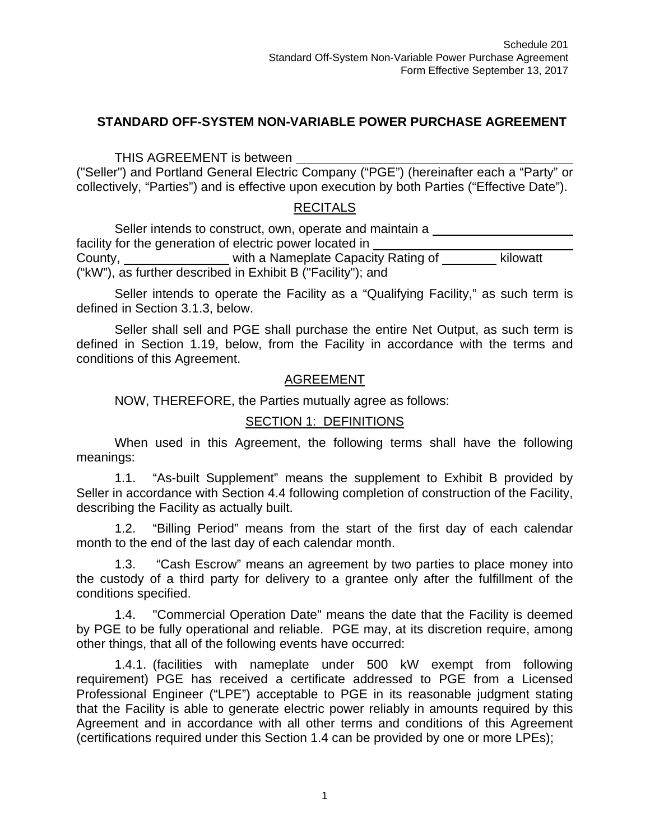#### **STANDARD OFF-SYSTEM NON-VARIABLE POWER PURCHASE AGREEMENT**

THIS AGREEMENT is between

("Seller") and Portland General Electric Company ("PGE") (hereinafter each a "Party" or collectively, "Parties") and is effective upon execution by both Parties ("Effective Date").

#### **RECITALS**

Seller intends to construct, own, operate and maintain a facility for the generation of electric power located in County, England Multimer a Nameplate Capacity Rating of Kilowatt ("kW"), as further described in Exhibit B ("Facility"); and

Seller intends to operate the Facility as a "Qualifying Facility," as such term is defined in Section 3.1.3, below.

Seller shall sell and PGE shall purchase the entire Net Output, as such term is defined in Section 1.19, below, from the Facility in accordance with the terms and conditions of this Agreement.

#### AGREEMENT

NOW, THEREFORE, the Parties mutually agree as follows:

#### SECTION 1: DEFINITIONS

When used in this Agreement, the following terms shall have the following meanings:

1.1. "As-built Supplement" means the supplement to Exhibit B provided by Seller in accordance with Section 4.4 following completion of construction of the Facility, describing the Facility as actually built.

1.2. "Billing Period" means from the start of the first day of each calendar month to the end of the last day of each calendar month.

1.3. "Cash Escrow" means an agreement by two parties to place money into the custody of a third party for delivery to a grantee only after the fulfillment of the conditions specified.

1.4. "Commercial Operation Date" means the date that the Facility is deemed by PGE to be fully operational and reliable. PGE may, at its discretion require, among other things, that all of the following events have occurred:

1.4.1. (facilities with nameplate under 500 kW exempt from following requirement) PGE has received a certificate addressed to PGE from a Licensed Professional Engineer ("LPE") acceptable to PGE in its reasonable judgment stating that the Facility is able to generate electric power reliably in amounts required by this Agreement and in accordance with all other terms and conditions of this Agreement (certifications required under this Section 1.4 can be provided by one or more LPEs);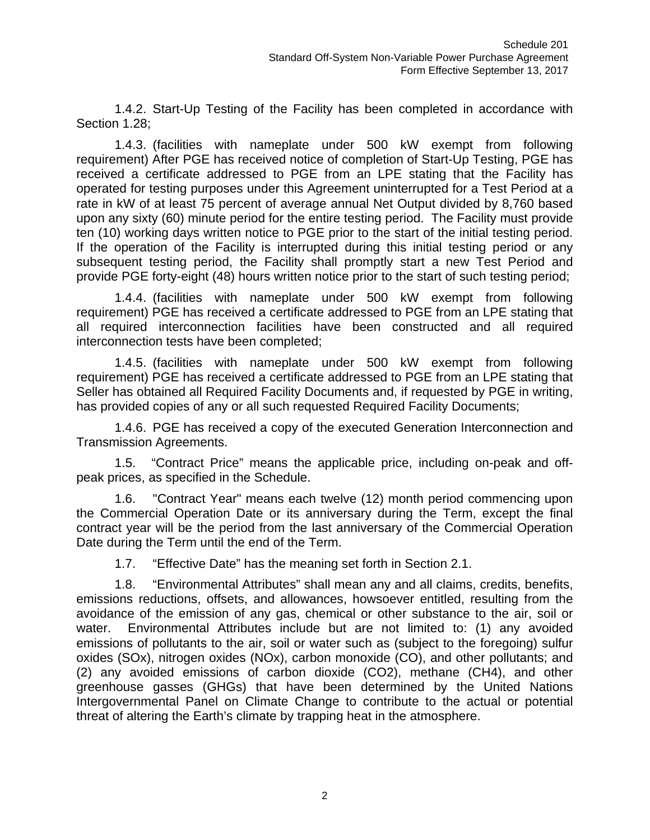1.4.2. Start-Up Testing of the Facility has been completed in accordance with Section 1.28;

1.4.3. (facilities with nameplate under 500 kW exempt from following requirement) After PGE has received notice of completion of Start-Up Testing, PGE has received a certificate addressed to PGE from an LPE stating that the Facility has operated for testing purposes under this Agreement uninterrupted for a Test Period at a rate in kW of at least 75 percent of average annual Net Output divided by 8,760 based upon any sixty (60) minute period for the entire testing period. The Facility must provide ten (10) working days written notice to PGE prior to the start of the initial testing period. If the operation of the Facility is interrupted during this initial testing period or any subsequent testing period, the Facility shall promptly start a new Test Period and provide PGE forty-eight (48) hours written notice prior to the start of such testing period;

1.4.4. (facilities with nameplate under 500 kW exempt from following requirement) PGE has received a certificate addressed to PGE from an LPE stating that all required interconnection facilities have been constructed and all required interconnection tests have been completed;

1.4.5. (facilities with nameplate under 500 kW exempt from following requirement) PGE has received a certificate addressed to PGE from an LPE stating that Seller has obtained all Required Facility Documents and, if requested by PGE in writing, has provided copies of any or all such requested Required Facility Documents;

1.4.6. PGE has received a copy of the executed Generation Interconnection and Transmission Agreements.

1.5. "Contract Price" means the applicable price, including on-peak and offpeak prices, as specified in the Schedule.

1.6. "Contract Year" means each twelve (12) month period commencing upon the Commercial Operation Date or its anniversary during the Term, except the final contract year will be the period from the last anniversary of the Commercial Operation Date during the Term until the end of the Term.

1.7. "Effective Date" has the meaning set forth in Section 2.1.

1.8. "Environmental Attributes" shall mean any and all claims, credits, benefits, emissions reductions, offsets, and allowances, howsoever entitled, resulting from the avoidance of the emission of any gas, chemical or other substance to the air, soil or water. Environmental Attributes include but are not limited to: (1) any avoided emissions of pollutants to the air, soil or water such as (subject to the foregoing) sulfur oxides (SOx), nitrogen oxides (NOx), carbon monoxide (CO), and other pollutants; and (2) any avoided emissions of carbon dioxide (CO2), methane (CH4), and other greenhouse gasses (GHGs) that have been determined by the United Nations Intergovernmental Panel on Climate Change to contribute to the actual or potential threat of altering the Earth's climate by trapping heat in the atmosphere.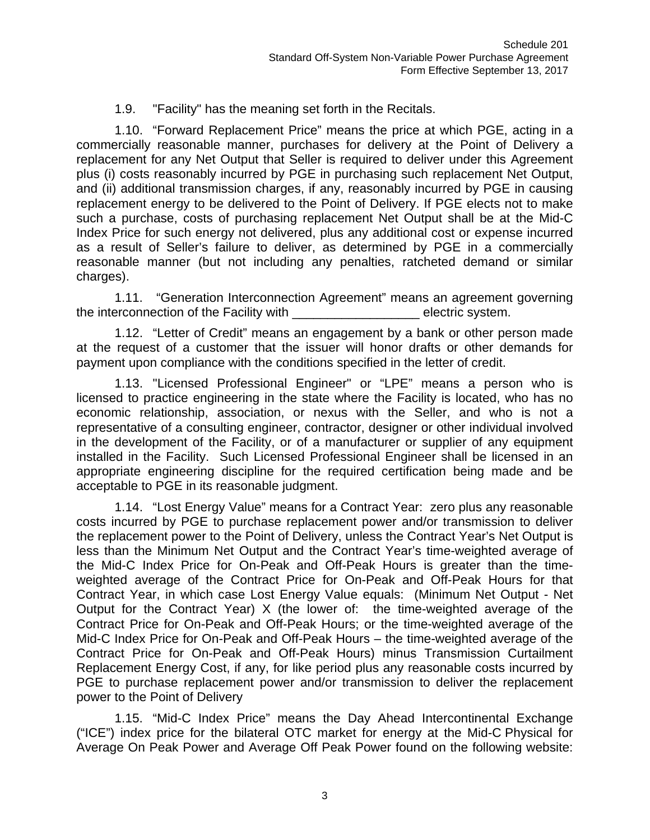#### 1.9. "Facility" has the meaning set forth in the Recitals.

1.10. "Forward Replacement Price" means the price at which PGE, acting in a commercially reasonable manner, purchases for delivery at the Point of Delivery a replacement for any Net Output that Seller is required to deliver under this Agreement plus (i) costs reasonably incurred by PGE in purchasing such replacement Net Output, and (ii) additional transmission charges, if any, reasonably incurred by PGE in causing replacement energy to be delivered to the Point of Delivery. If PGE elects not to make such a purchase, costs of purchasing replacement Net Output shall be at the Mid-C Index Price for such energy not delivered, plus any additional cost or expense incurred as a result of Seller's failure to deliver, as determined by PGE in a commercially reasonable manner (but not including any penalties, ratcheted demand or similar charges).

1.11. "Generation Interconnection Agreement" means an agreement governing the interconnection of the Facility with the selectric system.

1.12. "Letter of Credit" means an engagement by a bank or other person made at the request of a customer that the issuer will honor drafts or other demands for payment upon compliance with the conditions specified in the letter of credit.

1.13. "Licensed Professional Engineer" or "LPE" means a person who is licensed to practice engineering in the state where the Facility is located, who has no economic relationship, association, or nexus with the Seller, and who is not a representative of a consulting engineer, contractor, designer or other individual involved in the development of the Facility, or of a manufacturer or supplier of any equipment installed in the Facility. Such Licensed Professional Engineer shall be licensed in an appropriate engineering discipline for the required certification being made and be acceptable to PGE in its reasonable judgment.

1.14. "Lost Energy Value" means for a Contract Year: zero plus any reasonable costs incurred by PGE to purchase replacement power and/or transmission to deliver the replacement power to the Point of Delivery, unless the Contract Year's Net Output is less than the Minimum Net Output and the Contract Year's time-weighted average of the Mid-C Index Price for On-Peak and Off-Peak Hours is greater than the timeweighted average of the Contract Price for On-Peak and Off-Peak Hours for that Contract Year, in which case Lost Energy Value equals: (Minimum Net Output - Net Output for the Contract Year) X (the lower of: the time-weighted average of the Contract Price for On-Peak and Off-Peak Hours; or the time-weighted average of the Mid-C Index Price for On-Peak and Off-Peak Hours – the time-weighted average of the Contract Price for On-Peak and Off-Peak Hours) minus Transmission Curtailment Replacement Energy Cost, if any, for like period plus any reasonable costs incurred by PGE to purchase replacement power and/or transmission to deliver the replacement power to the Point of Delivery

1.15. "Mid-C Index Price" means the Day Ahead Intercontinental Exchange ("ICE") index price for the bilateral OTC market for energy at the Mid-C Physical for Average On Peak Power and Average Off Peak Power found on the following website: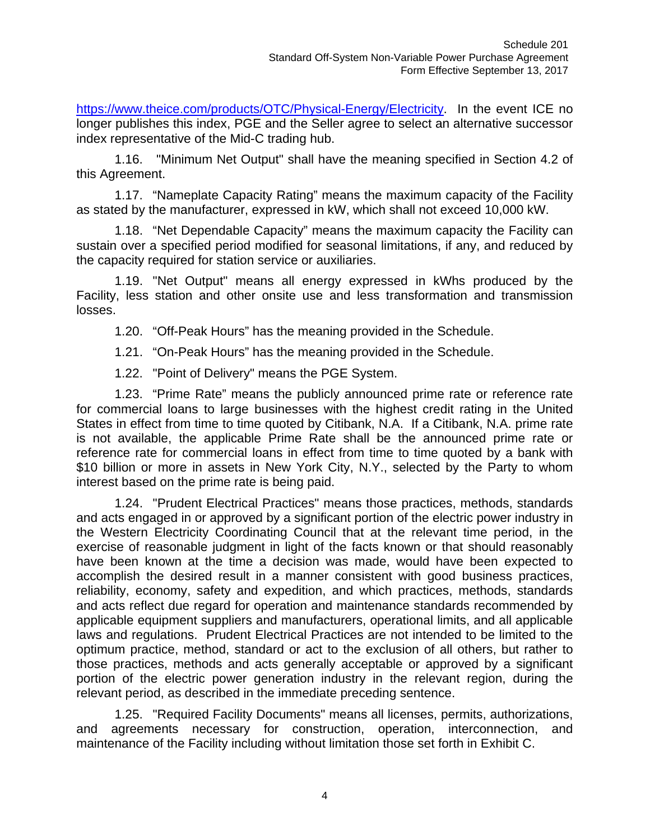https://www.theice.com/products/OTC/Physical-Energy/Electricity. In the event ICE no longer publishes this index, PGE and the Seller agree to select an alternative successor index representative of the Mid-C trading hub.

1.16. "Minimum Net Output" shall have the meaning specified in Section 4.2 of this Agreement.

1.17. "Nameplate Capacity Rating" means the maximum capacity of the Facility as stated by the manufacturer, expressed in kW, which shall not exceed 10,000 kW.

1.18. "Net Dependable Capacity" means the maximum capacity the Facility can sustain over a specified period modified for seasonal limitations, if any, and reduced by the capacity required for station service or auxiliaries.

1.19. "Net Output" means all energy expressed in kWhs produced by the Facility, less station and other onsite use and less transformation and transmission losses.

1.20. "Off-Peak Hours" has the meaning provided in the Schedule.

1.21. "On-Peak Hours" has the meaning provided in the Schedule.

1.22. "Point of Delivery" means the PGE System.

1.23. "Prime Rate" means the publicly announced prime rate or reference rate for commercial loans to large businesses with the highest credit rating in the United States in effect from time to time quoted by Citibank, N.A. If a Citibank, N.A. prime rate is not available, the applicable Prime Rate shall be the announced prime rate or reference rate for commercial loans in effect from time to time quoted by a bank with \$10 billion or more in assets in New York City, N.Y., selected by the Party to whom interest based on the prime rate is being paid.

1.24. "Prudent Electrical Practices" means those practices, methods, standards and acts engaged in or approved by a significant portion of the electric power industry in the Western Electricity Coordinating Council that at the relevant time period, in the exercise of reasonable judgment in light of the facts known or that should reasonably have been known at the time a decision was made, would have been expected to accomplish the desired result in a manner consistent with good business practices, reliability, economy, safety and expedition, and which practices, methods, standards and acts reflect due regard for operation and maintenance standards recommended by applicable equipment suppliers and manufacturers, operational limits, and all applicable laws and regulations. Prudent Electrical Practices are not intended to be limited to the optimum practice, method, standard or act to the exclusion of all others, but rather to those practices, methods and acts generally acceptable or approved by a significant portion of the electric power generation industry in the relevant region, during the relevant period, as described in the immediate preceding sentence.

1.25. "Required Facility Documents" means all licenses, permits, authorizations, and agreements necessary for construction, operation, interconnection, and maintenance of the Facility including without limitation those set forth in Exhibit C.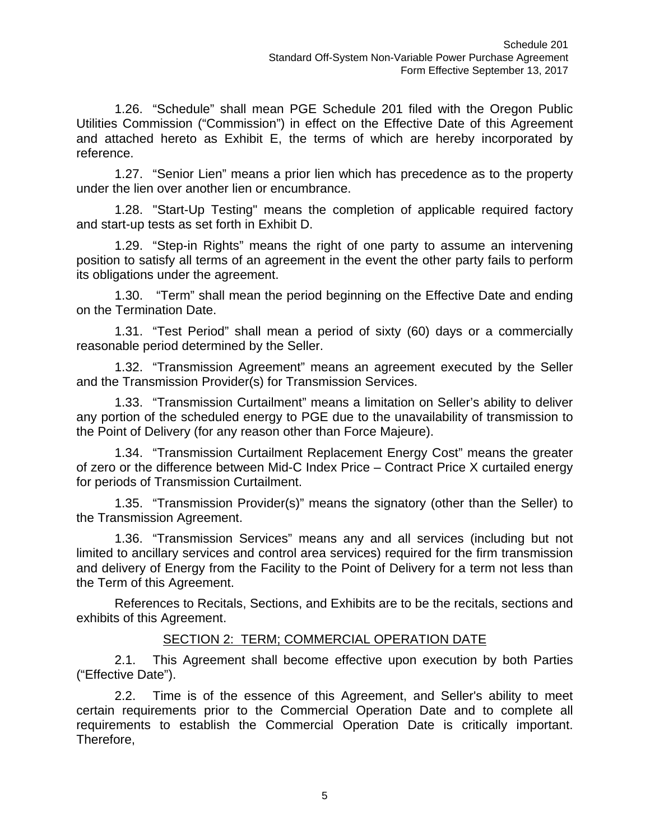1.26. "Schedule" shall mean PGE Schedule 201 filed with the Oregon Public Utilities Commission ("Commission") in effect on the Effective Date of this Agreement and attached hereto as Exhibit E, the terms of which are hereby incorporated by reference.

1.27. "Senior Lien" means a prior lien which has precedence as to the property under the lien over another lien or encumbrance.

1.28. "Start-Up Testing" means the completion of applicable required factory and start-up tests as set forth in Exhibit D.

1.29. "Step-in Rights" means the right of one party to assume an intervening position to satisfy all terms of an agreement in the event the other party fails to perform its obligations under the agreement.

1.30. "Term" shall mean the period beginning on the Effective Date and ending on the Termination Date.

1.31. "Test Period" shall mean a period of sixty (60) days or a commercially reasonable period determined by the Seller.

1.32. "Transmission Agreement" means an agreement executed by the Seller and the Transmission Provider(s) for Transmission Services.

1.33. "Transmission Curtailment" means a limitation on Seller's ability to deliver any portion of the scheduled energy to PGE due to the unavailability of transmission to the Point of Delivery (for any reason other than Force Majeure).

1.34. "Transmission Curtailment Replacement Energy Cost" means the greater of zero or the difference between Mid-C Index Price – Contract Price X curtailed energy for periods of Transmission Curtailment.

1.35. "Transmission Provider(s)" means the signatory (other than the Seller) to the Transmission Agreement.

1.36. "Transmission Services" means any and all services (including but not limited to ancillary services and control area services) required for the firm transmission and delivery of Energy from the Facility to the Point of Delivery for a term not less than the Term of this Agreement.

References to Recitals, Sections, and Exhibits are to be the recitals, sections and exhibits of this Agreement.

#### SECTION 2: TERM; COMMERCIAL OPERATION DATE

2.1. This Agreement shall become effective upon execution by both Parties ("Effective Date").

2.2. Time is of the essence of this Agreement, and Seller's ability to meet certain requirements prior to the Commercial Operation Date and to complete all requirements to establish the Commercial Operation Date is critically important. Therefore,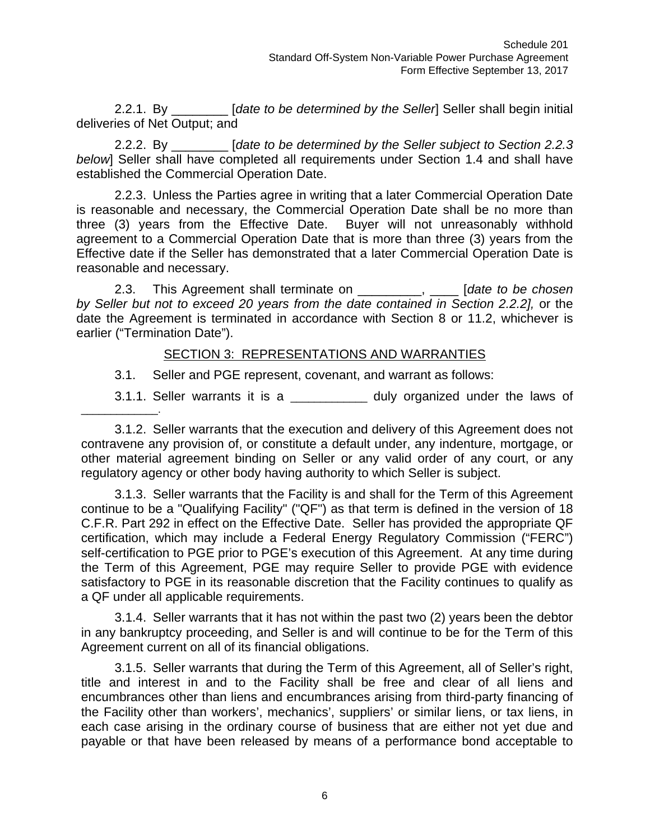2.2.1. By \_\_\_\_\_\_\_\_ [*date to be determined by the Seller*] Seller shall begin initial deliveries of Net Output; and

2.2.2. By \_\_\_\_\_\_\_\_ [*date to be determined by the Seller subject to Section 2.2.3 below*] Seller shall have completed all requirements under Section 1.4 and shall have established the Commercial Operation Date.

2.2.3. Unless the Parties agree in writing that a later Commercial Operation Date is reasonable and necessary, the Commercial Operation Date shall be no more than three (3) years from the Effective Date. Buyer will not unreasonably withhold agreement to a Commercial Operation Date that is more than three (3) years from the Effective date if the Seller has demonstrated that a later Commercial Operation Date is reasonable and necessary.

2.3. This Agreement shall terminate on \_\_\_\_\_\_\_\_\_, \_\_\_\_ [*date to be chosen by Seller but not to exceed 20 years from the date contained in Section 2.2.2],* or the date the Agreement is terminated in accordance with Section 8 or 11.2, whichever is earlier ("Termination Date").

#### SECTION 3: REPRESENTATIONS AND WARRANTIES

3.1. Seller and PGE represent, covenant, and warrant as follows:

3.1.1. Seller warrants it is a \_\_\_\_\_\_\_\_\_\_\_\_\_\_ duly organized under the laws of

3.1.2. Seller warrants that the execution and delivery of this Agreement does not contravene any provision of, or constitute a default under, any indenture, mortgage, or other material agreement binding on Seller or any valid order of any court, or any regulatory agency or other body having authority to which Seller is subject.

3.1.3. Seller warrants that the Facility is and shall for the Term of this Agreement continue to be a "Qualifying Facility" ("QF") as that term is defined in the version of 18 C.F.R. Part 292 in effect on the Effective Date. Seller has provided the appropriate QF certification, which may include a Federal Energy Regulatory Commission ("FERC") self-certification to PGE prior to PGE's execution of this Agreement. At any time during the Term of this Agreement, PGE may require Seller to provide PGE with evidence satisfactory to PGE in its reasonable discretion that the Facility continues to qualify as a QF under all applicable requirements.

3.1.4. Seller warrants that it has not within the past two (2) years been the debtor in any bankruptcy proceeding, and Seller is and will continue to be for the Term of this Agreement current on all of its financial obligations.

3.1.5. Seller warrants that during the Term of this Agreement, all of Seller's right, title and interest in and to the Facility shall be free and clear of all liens and encumbrances other than liens and encumbrances arising from third-party financing of the Facility other than workers', mechanics', suppliers' or similar liens, or tax liens, in each case arising in the ordinary course of business that are either not yet due and payable or that have been released by means of a performance bond acceptable to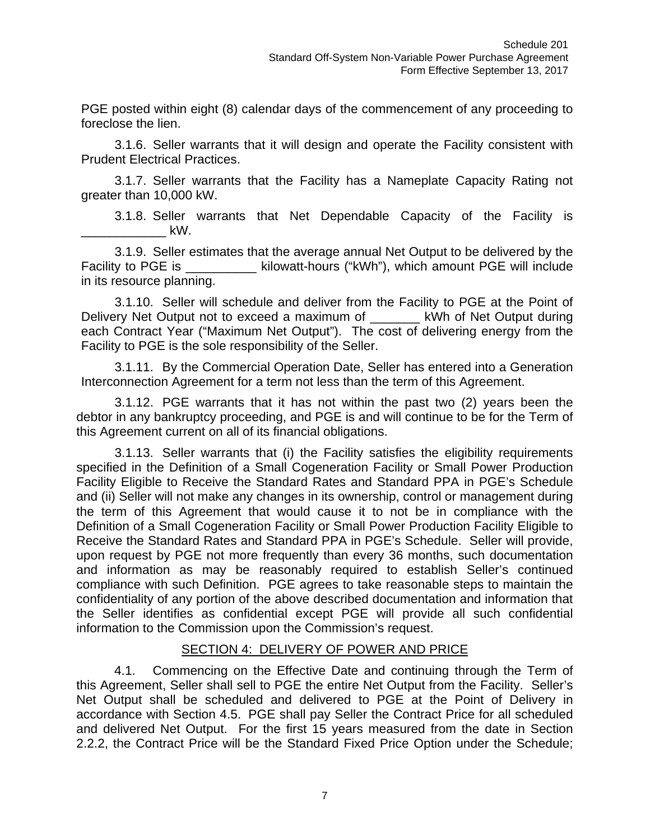PGE posted within eight (8) calendar days of the commencement of any proceeding to foreclose the lien.

3.1.6. Seller warrants that it will design and operate the Facility consistent with Prudent Electrical Practices.

3.1.7. Seller warrants that the Facility has a Nameplate Capacity Rating not greater than 10,000 kW.

3.1.8. Seller warrants that Net Dependable Capacity of the Facility is  $\mathsf{kW}.$ 

3.1.9. Seller estimates that the average annual Net Output to be delivered by the Facility to PGE is \_\_\_\_\_\_\_\_\_\_\_ kilowatt-hours ("kWh"), which amount PGE will include in its resource planning.

3.1.10. Seller will schedule and deliver from the Facility to PGE at the Point of Delivery Net Output not to exceed a maximum of \_\_\_\_\_\_\_\_ kWh of Net Output during each Contract Year ("Maximum Net Output"). The cost of delivering energy from the Facility to PGE is the sole responsibility of the Seller.

3.1.11. By the Commercial Operation Date, Seller has entered into a Generation Interconnection Agreement for a term not less than the term of this Agreement.

3.1.12. PGE warrants that it has not within the past two (2) years been the debtor in any bankruptcy proceeding, and PGE is and will continue to be for the Term of this Agreement current on all of its financial obligations.

3.1.13. Seller warrants that (i) the Facility satisfies the eligibility requirements specified in the Definition of a Small Cogeneration Facility or Small Power Production Facility Eligible to Receive the Standard Rates and Standard PPA in PGE's Schedule and (ii) Seller will not make any changes in its ownership, control or management during the term of this Agreement that would cause it to not be in compliance with the Definition of a Small Cogeneration Facility or Small Power Production Facility Eligible to Receive the Standard Rates and Standard PPA in PGE's Schedule. Seller will provide, upon request by PGE not more frequently than every 36 months, such documentation and information as may be reasonably required to establish Seller's continued compliance with such Definition. PGE agrees to take reasonable steps to maintain the confidentiality of any portion of the above described documentation and information that the Seller identifies as confidential except PGE will provide all such confidential information to the Commission upon the Commission's request.

#### SECTION 4: DELIVERY OF POWER AND PRICE

4.1. Commencing on the Effective Date and continuing through the Term of this Agreement, Seller shall sell to PGE the entire Net Output from the Facility. Seller's Net Output shall be scheduled and delivered to PGE at the Point of Delivery in accordance with Section 4.5. PGE shall pay Seller the Contract Price for all scheduled and delivered Net Output. For the first 15 years measured from the date in Section 2.2.2, the Contract Price will be the Standard Fixed Price Option under the Schedule;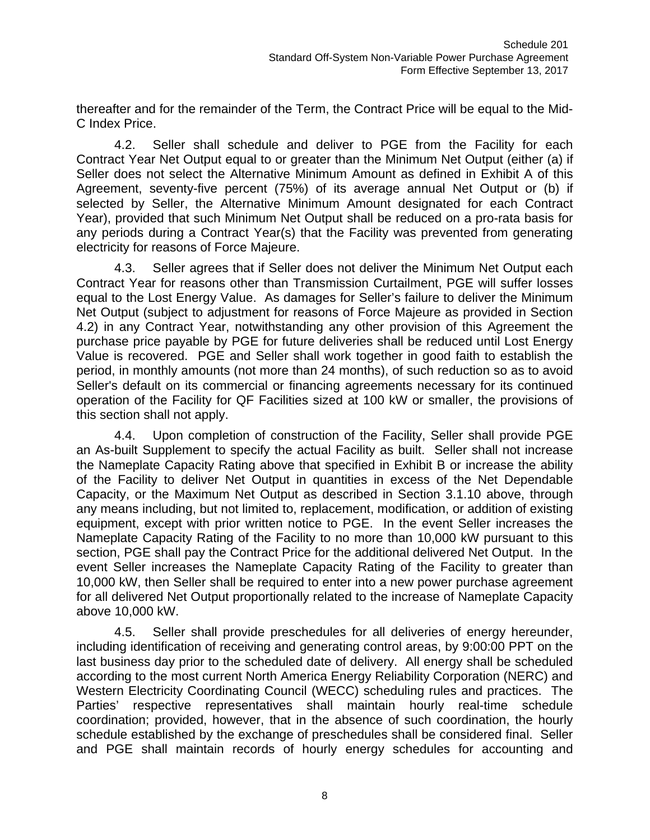thereafter and for the remainder of the Term, the Contract Price will be equal to the Mid-C Index Price.

4.2. Seller shall schedule and deliver to PGE from the Facility for each Contract Year Net Output equal to or greater than the Minimum Net Output (either (a) if Seller does not select the Alternative Minimum Amount as defined in Exhibit A of this Agreement, seventy-five percent (75%) of its average annual Net Output or (b) if selected by Seller, the Alternative Minimum Amount designated for each Contract Year), provided that such Minimum Net Output shall be reduced on a pro-rata basis for any periods during a Contract Year(s) that the Facility was prevented from generating electricity for reasons of Force Majeure.

4.3. Seller agrees that if Seller does not deliver the Minimum Net Output each Contract Year for reasons other than Transmission Curtailment, PGE will suffer losses equal to the Lost Energy Value. As damages for Seller's failure to deliver the Minimum Net Output (subject to adjustment for reasons of Force Majeure as provided in Section 4.2) in any Contract Year, notwithstanding any other provision of this Agreement the purchase price payable by PGE for future deliveries shall be reduced until Lost Energy Value is recovered. PGE and Seller shall work together in good faith to establish the period, in monthly amounts (not more than 24 months), of such reduction so as to avoid Seller's default on its commercial or financing agreements necessary for its continued operation of the Facility for QF Facilities sized at 100 kW or smaller, the provisions of this section shall not apply.

4.4. Upon completion of construction of the Facility, Seller shall provide PGE an As-built Supplement to specify the actual Facility as built. Seller shall not increase the Nameplate Capacity Rating above that specified in Exhibit B or increase the ability of the Facility to deliver Net Output in quantities in excess of the Net Dependable Capacity, or the Maximum Net Output as described in Section 3.1.10 above, through any means including, but not limited to, replacement, modification, or addition of existing equipment, except with prior written notice to PGE. In the event Seller increases the Nameplate Capacity Rating of the Facility to no more than 10,000 kW pursuant to this section, PGE shall pay the Contract Price for the additional delivered Net Output. In the event Seller increases the Nameplate Capacity Rating of the Facility to greater than 10,000 kW, then Seller shall be required to enter into a new power purchase agreement for all delivered Net Output proportionally related to the increase of Nameplate Capacity above 10,000 kW.

4.5. Seller shall provide preschedules for all deliveries of energy hereunder, including identification of receiving and generating control areas, by 9:00:00 PPT on the last business day prior to the scheduled date of delivery. All energy shall be scheduled according to the most current North America Energy Reliability Corporation (NERC) and Western Electricity Coordinating Council (WECC) scheduling rules and practices. The Parties' respective representatives shall maintain hourly real-time schedule coordination; provided, however, that in the absence of such coordination, the hourly schedule established by the exchange of preschedules shall be considered final. Seller and PGE shall maintain records of hourly energy schedules for accounting and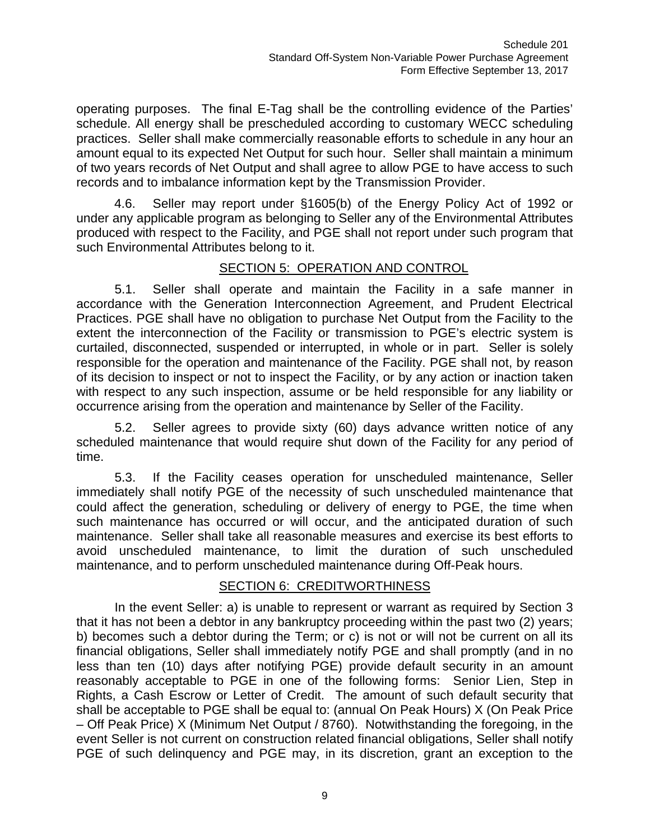operating purposes. The final E-Tag shall be the controlling evidence of the Parties' schedule. All energy shall be prescheduled according to customary WECC scheduling practices. Seller shall make commercially reasonable efforts to schedule in any hour an amount equal to its expected Net Output for such hour. Seller shall maintain a minimum of two years records of Net Output and shall agree to allow PGE to have access to such records and to imbalance information kept by the Transmission Provider.

4.6. Seller may report under §1605(b) of the Energy Policy Act of 1992 or under any applicable program as belonging to Seller any of the Environmental Attributes produced with respect to the Facility, and PGE shall not report under such program that such Environmental Attributes belong to it.

## SECTION 5: OPERATION AND CONTROL

5.1. Seller shall operate and maintain the Facility in a safe manner in accordance with the Generation Interconnection Agreement, and Prudent Electrical Practices. PGE shall have no obligation to purchase Net Output from the Facility to the extent the interconnection of the Facility or transmission to PGE's electric system is curtailed, disconnected, suspended or interrupted, in whole or in part. Seller is solely responsible for the operation and maintenance of the Facility. PGE shall not, by reason of its decision to inspect or not to inspect the Facility, or by any action or inaction taken with respect to any such inspection, assume or be held responsible for any liability or occurrence arising from the operation and maintenance by Seller of the Facility.

5.2. Seller agrees to provide sixty (60) days advance written notice of any scheduled maintenance that would require shut down of the Facility for any period of time.

5.3. If the Facility ceases operation for unscheduled maintenance, Seller immediately shall notify PGE of the necessity of such unscheduled maintenance that could affect the generation, scheduling or delivery of energy to PGE, the time when such maintenance has occurred or will occur, and the anticipated duration of such maintenance. Seller shall take all reasonable measures and exercise its best efforts to avoid unscheduled maintenance, to limit the duration of such unscheduled maintenance, and to perform unscheduled maintenance during Off-Peak hours.

#### SECTION 6: CREDITWORTHINESS

In the event Seller: a) is unable to represent or warrant as required by Section 3 that it has not been a debtor in any bankruptcy proceeding within the past two (2) years; b) becomes such a debtor during the Term; or c) is not or will not be current on all its financial obligations, Seller shall immediately notify PGE and shall promptly (and in no less than ten (10) days after notifying PGE) provide default security in an amount reasonably acceptable to PGE in one of the following forms: Senior Lien, Step in Rights, a Cash Escrow or Letter of Credit. The amount of such default security that shall be acceptable to PGE shall be equal to: (annual On Peak Hours) X (On Peak Price – Off Peak Price) X (Minimum Net Output / 8760). Notwithstanding the foregoing, in the event Seller is not current on construction related financial obligations, Seller shall notify PGE of such delinquency and PGE may, in its discretion, grant an exception to the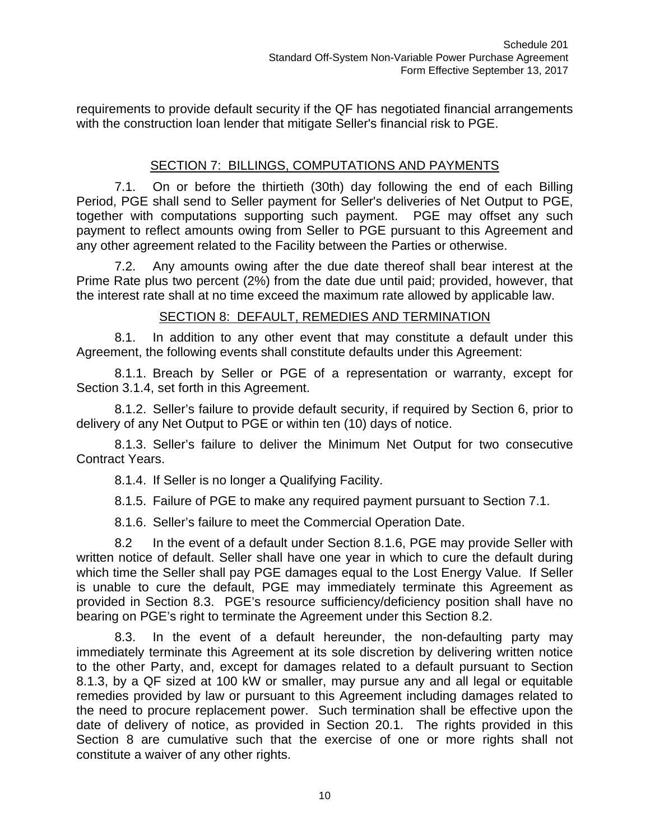requirements to provide default security if the QF has negotiated financial arrangements with the construction loan lender that mitigate Seller's financial risk to PGE.

# SECTION 7: BILLINGS, COMPUTATIONS AND PAYMENTS

7.1. On or before the thirtieth (30th) day following the end of each Billing Period, PGE shall send to Seller payment for Seller's deliveries of Net Output to PGE, together with computations supporting such payment. PGE may offset any such payment to reflect amounts owing from Seller to PGE pursuant to this Agreement and any other agreement related to the Facility between the Parties or otherwise.

7.2. Any amounts owing after the due date thereof shall bear interest at the Prime Rate plus two percent (2%) from the date due until paid; provided, however, that the interest rate shall at no time exceed the maximum rate allowed by applicable law.

## SECTION 8: DEFAULT, REMEDIES AND TERMINATION

8.1. In addition to any other event that may constitute a default under this Agreement, the following events shall constitute defaults under this Agreement:

8.1.1. Breach by Seller or PGE of a representation or warranty, except for Section 3.1.4, set forth in this Agreement.

8.1.2. Seller's failure to provide default security, if required by Section 6, prior to delivery of any Net Output to PGE or within ten (10) days of notice.

8.1.3. Seller's failure to deliver the Minimum Net Output for two consecutive Contract Years.

8.1.4. If Seller is no longer a Qualifying Facility.

8.1.5. Failure of PGE to make any required payment pursuant to Section 7.1.

8.1.6. Seller's failure to meet the Commercial Operation Date.

8.2 In the event of a default under Section 8.1.6, PGE may provide Seller with written notice of default. Seller shall have one year in which to cure the default during which time the Seller shall pay PGE damages equal to the Lost Energy Value. If Seller is unable to cure the default, PGE may immediately terminate this Agreement as provided in Section 8.3. PGE's resource sufficiency/deficiency position shall have no bearing on PGE's right to terminate the Agreement under this Section 8.2.

8.3. In the event of a default hereunder, the non-defaulting party may immediately terminate this Agreement at its sole discretion by delivering written notice to the other Party, and, except for damages related to a default pursuant to Section 8.1.3, by a QF sized at 100 kW or smaller, may pursue any and all legal or equitable remedies provided by law or pursuant to this Agreement including damages related to the need to procure replacement power. Such termination shall be effective upon the date of delivery of notice, as provided in Section 20.1. The rights provided in this Section 8 are cumulative such that the exercise of one or more rights shall not constitute a waiver of any other rights.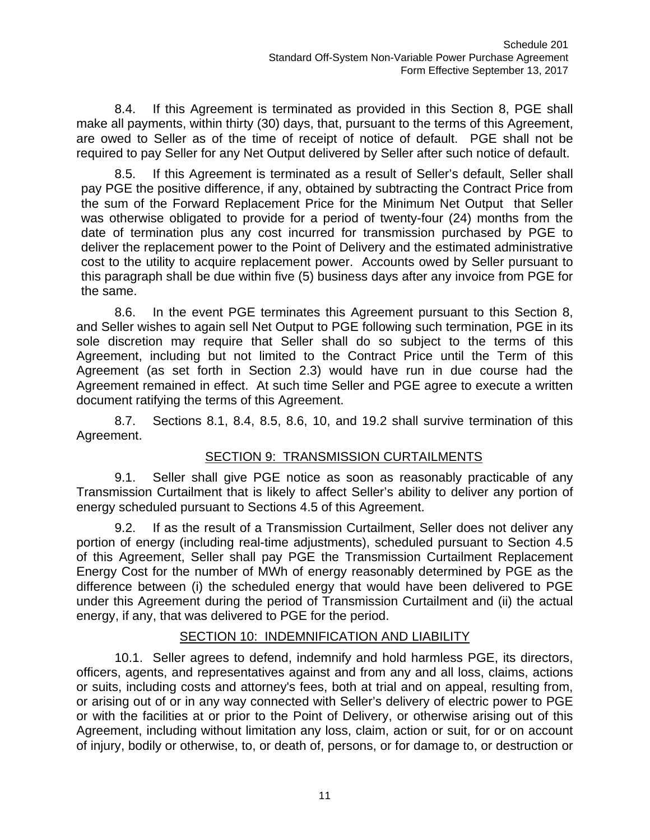8.4. If this Agreement is terminated as provided in this Section 8, PGE shall make all payments, within thirty (30) days, that, pursuant to the terms of this Agreement, are owed to Seller as of the time of receipt of notice of default. PGE shall not be required to pay Seller for any Net Output delivered by Seller after such notice of default.

8.5. If this Agreement is terminated as a result of Seller's default, Seller shall pay PGE the positive difference, if any, obtained by subtracting the Contract Price from the sum of the Forward Replacement Price for the Minimum Net Output that Seller was otherwise obligated to provide for a period of twenty-four (24) months from the date of termination plus any cost incurred for transmission purchased by PGE to deliver the replacement power to the Point of Delivery and the estimated administrative cost to the utility to acquire replacement power. Accounts owed by Seller pursuant to this paragraph shall be due within five (5) business days after any invoice from PGE for the same.

8.6. In the event PGE terminates this Agreement pursuant to this Section 8, and Seller wishes to again sell Net Output to PGE following such termination, PGE in its sole discretion may require that Seller shall do so subject to the terms of this Agreement, including but not limited to the Contract Price until the Term of this Agreement (as set forth in Section 2.3) would have run in due course had the Agreement remained in effect. At such time Seller and PGE agree to execute a written document ratifying the terms of this Agreement.

8.7. Sections 8.1, 8.4, 8.5, 8.6, 10, and 19.2 shall survive termination of this Agreement.

# SECTION 9: TRANSMISSION CURTAILMENTS

9.1. Seller shall give PGE notice as soon as reasonably practicable of any Transmission Curtailment that is likely to affect Seller's ability to deliver any portion of energy scheduled pursuant to Sections 4.5 of this Agreement.

9.2. If as the result of a Transmission Curtailment, Seller does not deliver any portion of energy (including real-time adjustments), scheduled pursuant to Section 4.5 of this Agreement, Seller shall pay PGE the Transmission Curtailment Replacement Energy Cost for the number of MWh of energy reasonably determined by PGE as the difference between (i) the scheduled energy that would have been delivered to PGE under this Agreement during the period of Transmission Curtailment and (ii) the actual energy, if any, that was delivered to PGE for the period.

#### SECTION 10: INDEMNIFICATION AND LIABILITY

10.1. Seller agrees to defend, indemnify and hold harmless PGE, its directors, officers, agents, and representatives against and from any and all loss, claims, actions or suits, including costs and attorney's fees, both at trial and on appeal, resulting from, or arising out of or in any way connected with Seller's delivery of electric power to PGE or with the facilities at or prior to the Point of Delivery, or otherwise arising out of this Agreement, including without limitation any loss, claim, action or suit, for or on account of injury, bodily or otherwise, to, or death of, persons, or for damage to, or destruction or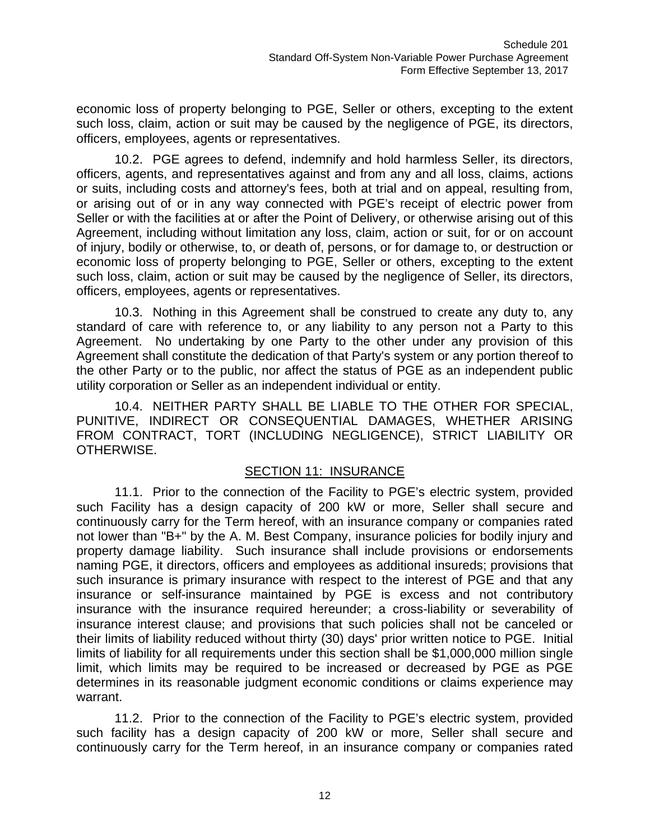economic loss of property belonging to PGE, Seller or others, excepting to the extent such loss, claim, action or suit may be caused by the negligence of PGE, its directors, officers, employees, agents or representatives.

10.2. PGE agrees to defend, indemnify and hold harmless Seller, its directors, officers, agents, and representatives against and from any and all loss, claims, actions or suits, including costs and attorney's fees, both at trial and on appeal, resulting from, or arising out of or in any way connected with PGE's receipt of electric power from Seller or with the facilities at or after the Point of Delivery, or otherwise arising out of this Agreement, including without limitation any loss, claim, action or suit, for or on account of injury, bodily or otherwise, to, or death of, persons, or for damage to, or destruction or economic loss of property belonging to PGE, Seller or others, excepting to the extent such loss, claim, action or suit may be caused by the negligence of Seller, its directors, officers, employees, agents or representatives.

10.3. Nothing in this Agreement shall be construed to create any duty to, any standard of care with reference to, or any liability to any person not a Party to this Agreement. No undertaking by one Party to the other under any provision of this Agreement shall constitute the dedication of that Party's system or any portion thereof to the other Party or to the public, nor affect the status of PGE as an independent public utility corporation or Seller as an independent individual or entity.

10.4. NEITHER PARTY SHALL BE LIABLE TO THE OTHER FOR SPECIAL, PUNITIVE, INDIRECT OR CONSEQUENTIAL DAMAGES, WHETHER ARISING FROM CONTRACT, TORT (INCLUDING NEGLIGENCE), STRICT LIABILITY OR OTHERWISE.

# SECTION 11: INSURANCE

11.1. Prior to the connection of the Facility to PGE's electric system, provided such Facility has a design capacity of 200 kW or more, Seller shall secure and continuously carry for the Term hereof, with an insurance company or companies rated not lower than "B+" by the A. M. Best Company, insurance policies for bodily injury and property damage liability. Such insurance shall include provisions or endorsements naming PGE, it directors, officers and employees as additional insureds; provisions that such insurance is primary insurance with respect to the interest of PGE and that any insurance or self-insurance maintained by PGE is excess and not contributory insurance with the insurance required hereunder; a cross-liability or severability of insurance interest clause; and provisions that such policies shall not be canceled or their limits of liability reduced without thirty (30) days' prior written notice to PGE. Initial limits of liability for all requirements under this section shall be \$1,000,000 million single limit, which limits may be required to be increased or decreased by PGE as PGE determines in its reasonable judgment economic conditions or claims experience may warrant.

11.2. Prior to the connection of the Facility to PGE's electric system, provided such facility has a design capacity of 200 kW or more, Seller shall secure and continuously carry for the Term hereof, in an insurance company or companies rated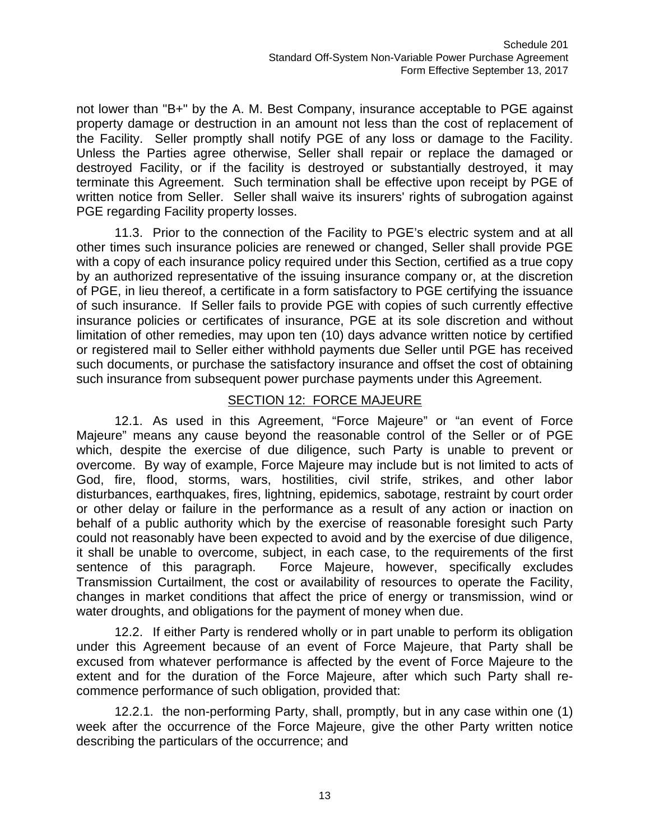not lower than "B+" by the A. M. Best Company, insurance acceptable to PGE against property damage or destruction in an amount not less than the cost of replacement of the Facility. Seller promptly shall notify PGE of any loss or damage to the Facility. Unless the Parties agree otherwise, Seller shall repair or replace the damaged or destroyed Facility, or if the facility is destroyed or substantially destroyed, it may terminate this Agreement. Such termination shall be effective upon receipt by PGE of written notice from Seller. Seller shall waive its insurers' rights of subrogation against PGE regarding Facility property losses.

11.3. Prior to the connection of the Facility to PGE's electric system and at all other times such insurance policies are renewed or changed, Seller shall provide PGE with a copy of each insurance policy required under this Section, certified as a true copy by an authorized representative of the issuing insurance company or, at the discretion of PGE, in lieu thereof, a certificate in a form satisfactory to PGE certifying the issuance of such insurance. If Seller fails to provide PGE with copies of such currently effective insurance policies or certificates of insurance, PGE at its sole discretion and without limitation of other remedies, may upon ten (10) days advance written notice by certified or registered mail to Seller either withhold payments due Seller until PGE has received such documents, or purchase the satisfactory insurance and offset the cost of obtaining such insurance from subsequent power purchase payments under this Agreement.

#### SECTION 12: FORCE MAJEURE

12.1. As used in this Agreement, "Force Majeure" or "an event of Force Majeure" means any cause beyond the reasonable control of the Seller or of PGE which, despite the exercise of due diligence, such Party is unable to prevent or overcome. By way of example, Force Majeure may include but is not limited to acts of God, fire, flood, storms, wars, hostilities, civil strife, strikes, and other labor disturbances, earthquakes, fires, lightning, epidemics, sabotage, restraint by court order or other delay or failure in the performance as a result of any action or inaction on behalf of a public authority which by the exercise of reasonable foresight such Party could not reasonably have been expected to avoid and by the exercise of due diligence, it shall be unable to overcome, subject, in each case, to the requirements of the first sentence of this paragraph. Force Majeure, however, specifically excludes Transmission Curtailment, the cost or availability of resources to operate the Facility, changes in market conditions that affect the price of energy or transmission, wind or water droughts, and obligations for the payment of money when due.

12.2. If either Party is rendered wholly or in part unable to perform its obligation under this Agreement because of an event of Force Majeure, that Party shall be excused from whatever performance is affected by the event of Force Majeure to the extent and for the duration of the Force Majeure, after which such Party shall recommence performance of such obligation, provided that:

12.2.1. the non-performing Party, shall, promptly, but in any case within one (1) week after the occurrence of the Force Majeure, give the other Party written notice describing the particulars of the occurrence; and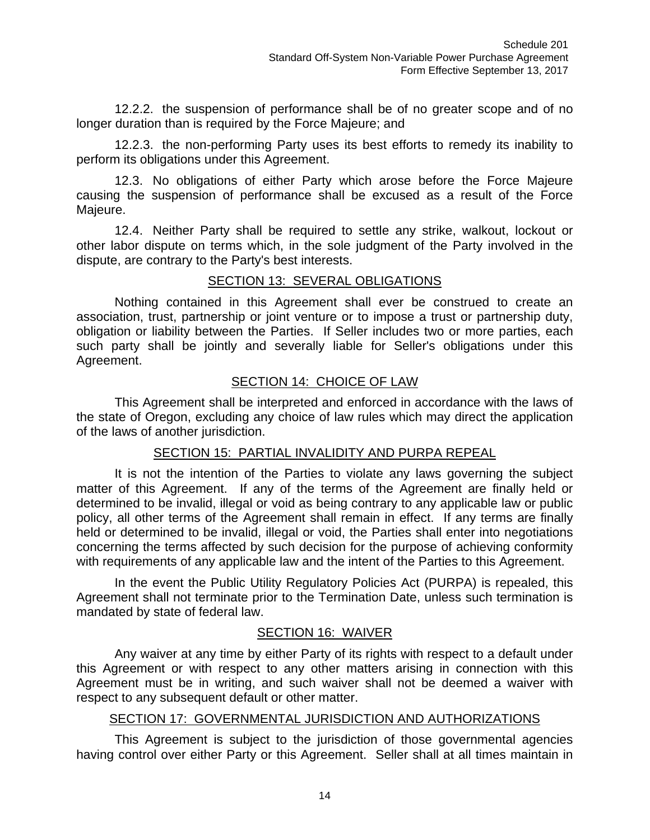12.2.2. the suspension of performance shall be of no greater scope and of no longer duration than is required by the Force Majeure; and

12.2.3. the non-performing Party uses its best efforts to remedy its inability to perform its obligations under this Agreement.

12.3. No obligations of either Party which arose before the Force Majeure causing the suspension of performance shall be excused as a result of the Force Majeure.

12.4. Neither Party shall be required to settle any strike, walkout, lockout or other labor dispute on terms which, in the sole judgment of the Party involved in the dispute, are contrary to the Party's best interests.

## SECTION 13: SEVERAL OBLIGATIONS

Nothing contained in this Agreement shall ever be construed to create an association, trust, partnership or joint venture or to impose a trust or partnership duty, obligation or liability between the Parties. If Seller includes two or more parties, each such party shall be jointly and severally liable for Seller's obligations under this Agreement.

# SECTION 14: CHOICE OF LAW

This Agreement shall be interpreted and enforced in accordance with the laws of the state of Oregon, excluding any choice of law rules which may direct the application of the laws of another jurisdiction.

#### SECTION 15: PARTIAL INVALIDITY AND PURPA REPEAL

It is not the intention of the Parties to violate any laws governing the subject matter of this Agreement. If any of the terms of the Agreement are finally held or determined to be invalid, illegal or void as being contrary to any applicable law or public policy, all other terms of the Agreement shall remain in effect. If any terms are finally held or determined to be invalid, illegal or void, the Parties shall enter into negotiations concerning the terms affected by such decision for the purpose of achieving conformity with requirements of any applicable law and the intent of the Parties to this Agreement.

In the event the Public Utility Regulatory Policies Act (PURPA) is repealed, this Agreement shall not terminate prior to the Termination Date, unless such termination is mandated by state of federal law.

#### SECTION 16: WAIVER

Any waiver at any time by either Party of its rights with respect to a default under this Agreement or with respect to any other matters arising in connection with this Agreement must be in writing, and such waiver shall not be deemed a waiver with respect to any subsequent default or other matter.

#### SECTION 17: GOVERNMENTAL JURISDICTION AND AUTHORIZATIONS

This Agreement is subject to the jurisdiction of those governmental agencies having control over either Party or this Agreement. Seller shall at all times maintain in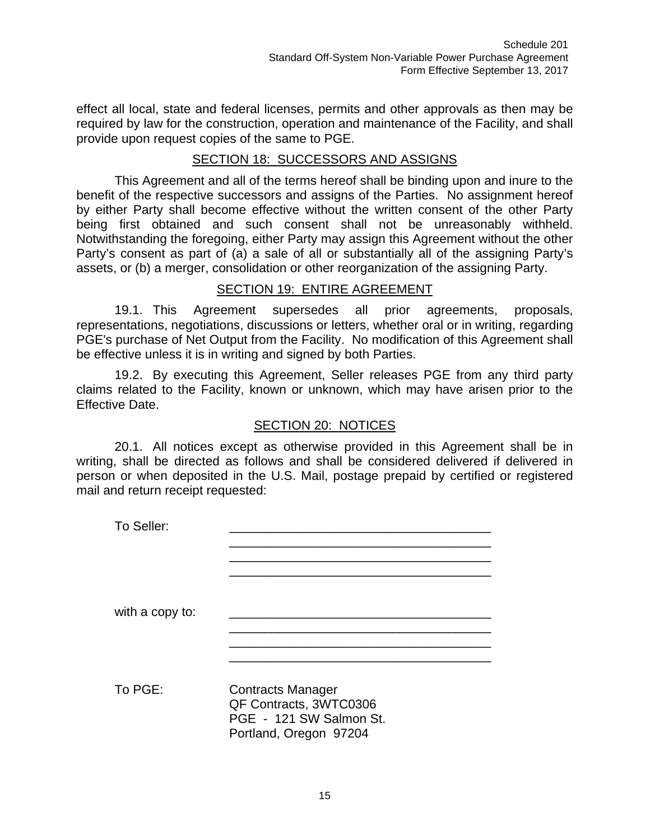effect all local, state and federal licenses, permits and other approvals as then may be required by law for the construction, operation and maintenance of the Facility, and shall provide upon request copies of the same to PGE.

## SECTION 18: SUCCESSORS AND ASSIGNS

This Agreement and all of the terms hereof shall be binding upon and inure to the benefit of the respective successors and assigns of the Parties. No assignment hereof by either Party shall become effective without the written consent of the other Party being first obtained and such consent shall not be unreasonably withheld. Notwithstanding the foregoing, either Party may assign this Agreement without the other Party's consent as part of (a) a sale of all or substantially all of the assigning Party's assets, or (b) a merger, consolidation or other reorganization of the assigning Party.

#### SECTION 19: ENTIRE AGREEMENT

19.1. This Agreement supersedes all prior agreements, proposals, representations, negotiations, discussions or letters, whether oral or in writing, regarding PGE's purchase of Net Output from the Facility. No modification of this Agreement shall be effective unless it is in writing and signed by both Parties.

19.2. By executing this Agreement, Seller releases PGE from any third party claims related to the Facility, known or unknown, which may have arisen prior to the Effective Date.

#### SECTION 20: NOTICES

20.1. All notices except as otherwise provided in this Agreement shall be in writing, shall be directed as follows and shall be considered delivered if delivered in person or when deposited in the U.S. Mail, postage prepaid by certified or registered mail and return receipt requested:

To Seller:  $\frac{1}{\sqrt{2}}$  ,  $\frac{1}{\sqrt{2}}$  ,  $\frac{1}{\sqrt{2}}$  ,  $\frac{1}{\sqrt{2}}$  ,  $\frac{1}{\sqrt{2}}$  ,  $\frac{1}{\sqrt{2}}$  ,  $\frac{1}{\sqrt{2}}$  ,  $\frac{1}{\sqrt{2}}$  ,  $\frac{1}{\sqrt{2}}$  ,  $\frac{1}{\sqrt{2}}$  ,  $\frac{1}{\sqrt{2}}$  ,  $\frac{1}{\sqrt{2}}$  ,  $\frac{1}{\sqrt{2}}$  ,  $\frac{1}{\sqrt{2}}$  ,  $\frac{1}{\sqrt{2}}$  $\frac{1}{\sqrt{2}}$  ,  $\frac{1}{\sqrt{2}}$  ,  $\frac{1}{\sqrt{2}}$  ,  $\frac{1}{\sqrt{2}}$  ,  $\frac{1}{\sqrt{2}}$  ,  $\frac{1}{\sqrt{2}}$  ,  $\frac{1}{\sqrt{2}}$  ,  $\frac{1}{\sqrt{2}}$  ,  $\frac{1}{\sqrt{2}}$  ,  $\frac{1}{\sqrt{2}}$  ,  $\frac{1}{\sqrt{2}}$  ,  $\frac{1}{\sqrt{2}}$  ,  $\frac{1}{\sqrt{2}}$  ,  $\frac{1}{\sqrt{2}}$  ,  $\frac{1}{\sqrt{2}}$ with a copy to:  $\frac{1}{\sqrt{2}}$  ,  $\frac{1}{\sqrt{2}}$  ,  $\frac{1}{\sqrt{2}}$  ,  $\frac{1}{\sqrt{2}}$  ,  $\frac{1}{\sqrt{2}}$  ,  $\frac{1}{\sqrt{2}}$  ,  $\frac{1}{\sqrt{2}}$  ,  $\frac{1}{\sqrt{2}}$  ,  $\frac{1}{\sqrt{2}}$  ,  $\frac{1}{\sqrt{2}}$  ,  $\frac{1}{\sqrt{2}}$  ,  $\frac{1}{\sqrt{2}}$  ,  $\frac{1}{\sqrt{2}}$  ,  $\frac{1}{\sqrt{2}}$  ,  $\frac{1}{\sqrt{2}}$  $\frac{1}{\sqrt{2}}$  ,  $\frac{1}{\sqrt{2}}$  ,  $\frac{1}{\sqrt{2}}$  ,  $\frac{1}{\sqrt{2}}$  ,  $\frac{1}{\sqrt{2}}$  ,  $\frac{1}{\sqrt{2}}$  ,  $\frac{1}{\sqrt{2}}$  ,  $\frac{1}{\sqrt{2}}$  ,  $\frac{1}{\sqrt{2}}$  ,  $\frac{1}{\sqrt{2}}$  ,  $\frac{1}{\sqrt{2}}$  ,  $\frac{1}{\sqrt{2}}$  ,  $\frac{1}{\sqrt{2}}$  ,  $\frac{1}{\sqrt{2}}$  ,  $\frac{1}{\sqrt{2}}$  $\frac{1}{\sqrt{2}}$  ,  $\frac{1}{\sqrt{2}}$  ,  $\frac{1}{\sqrt{2}}$  ,  $\frac{1}{\sqrt{2}}$  ,  $\frac{1}{\sqrt{2}}$  ,  $\frac{1}{\sqrt{2}}$  ,  $\frac{1}{\sqrt{2}}$  ,  $\frac{1}{\sqrt{2}}$  ,  $\frac{1}{\sqrt{2}}$  ,  $\frac{1}{\sqrt{2}}$  ,  $\frac{1}{\sqrt{2}}$  ,  $\frac{1}{\sqrt{2}}$  ,  $\frac{1}{\sqrt{2}}$  ,  $\frac{1}{\sqrt{2}}$  ,  $\frac{1}{\sqrt{2}}$ To PGE: Contracts Manager QF Contracts, 3WTC0306 PGE - 121 SW Salmon St. Portland, Oregon 97204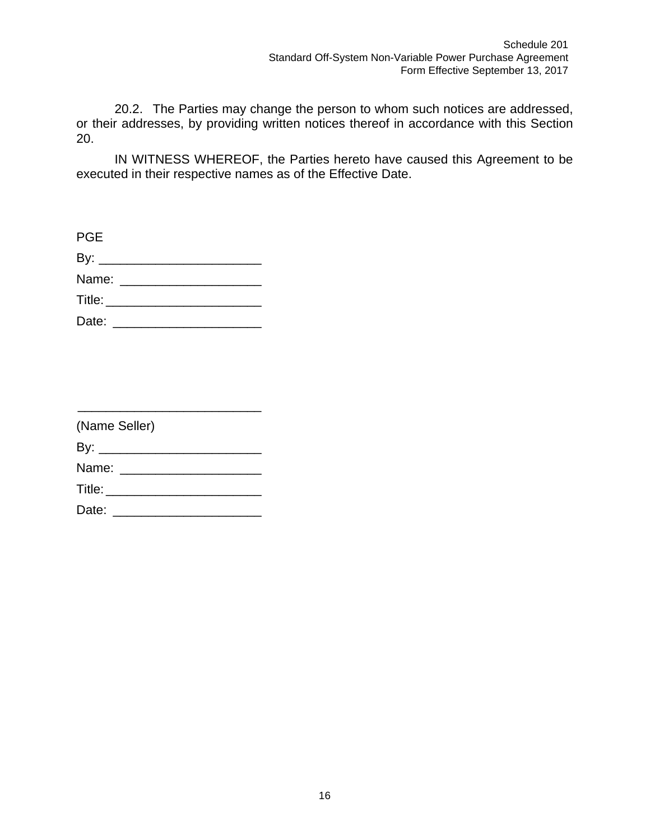20.2. The Parties may change the person to whom such notices are addressed, or their addresses, by providing written notices thereof in accordance with this Section 20.

IN WITNESS WHEREOF, the Parties hereto have caused this Agreement to be executed in their respective names as of the Effective Date.

| <b>PGE</b>                 |  |  |
|----------------------------|--|--|
|                            |  |  |
|                            |  |  |
| Title: ___________________ |  |  |
|                            |  |  |

| (Name Seller)           |  |  |  |  |
|-------------------------|--|--|--|--|
| By: __________________  |  |  |  |  |
| Name: ______________    |  |  |  |  |
| <b>Title:</b> Title:    |  |  |  |  |
| Date: _________________ |  |  |  |  |

\_\_\_\_\_\_\_\_\_\_\_\_\_\_\_\_\_\_\_\_\_\_\_\_\_\_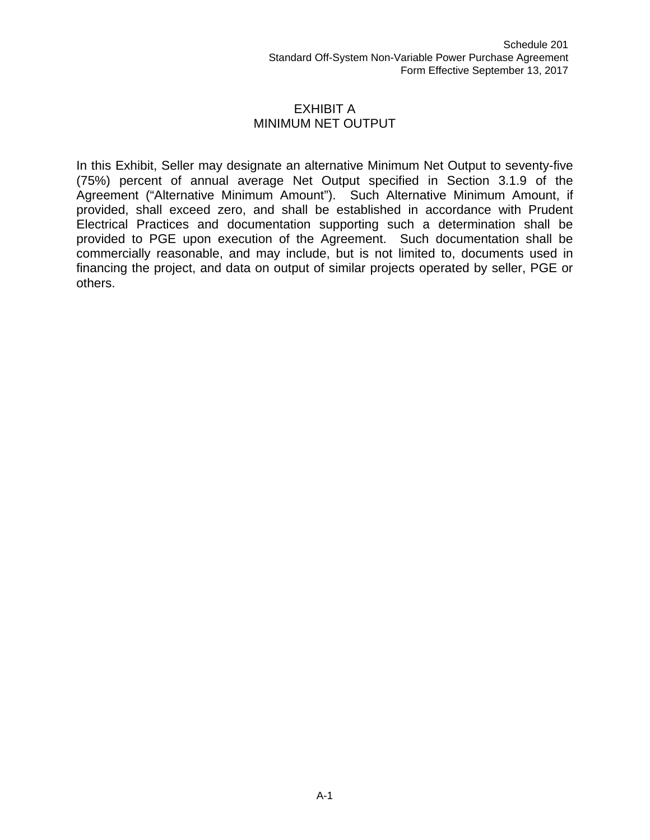#### EXHIBIT A MINIMUM NET OUTPUT

In this Exhibit, Seller may designate an alternative Minimum Net Output to seventy-five (75%) percent of annual average Net Output specified in Section 3.1.9 of the Agreement ("Alternative Minimum Amount"). Such Alternative Minimum Amount, if provided, shall exceed zero, and shall be established in accordance with Prudent Electrical Practices and documentation supporting such a determination shall be provided to PGE upon execution of the Agreement. Such documentation shall be commercially reasonable, and may include, but is not limited to, documents used in financing the project, and data on output of similar projects operated by seller, PGE or others.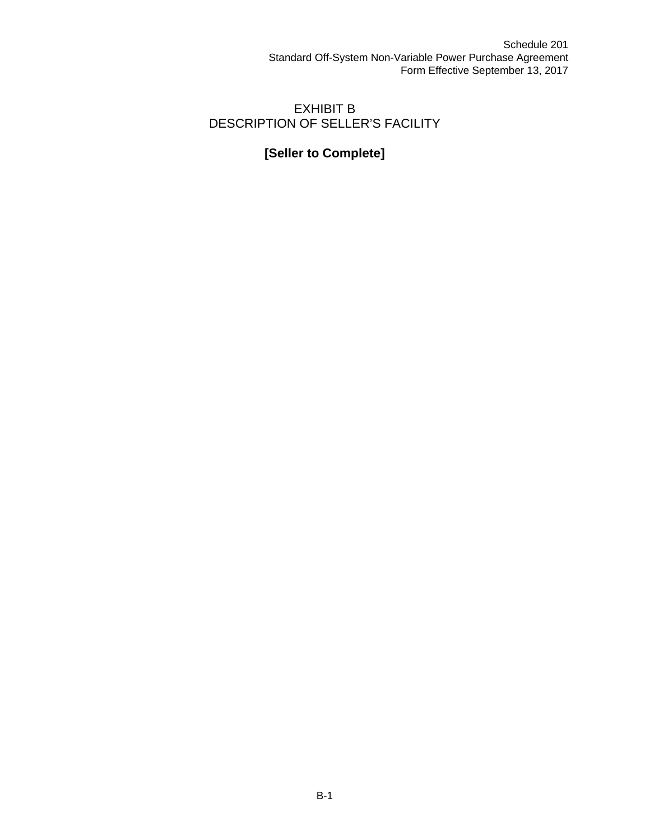# EXHIBIT B DESCRIPTION OF SELLER'S FACILITY

# **[Seller to Complete]**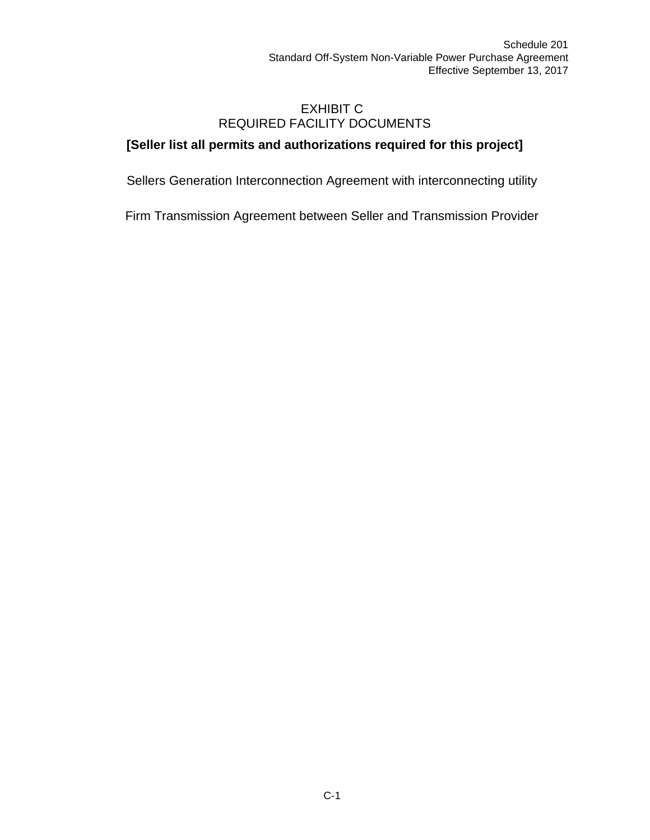## EXHIBIT C REQUIRED FACILITY DOCUMENTS

# **[Seller list all permits and authorizations required for this project]**

Sellers Generation Interconnection Agreement with interconnecting utility

Firm Transmission Agreement between Seller and Transmission Provider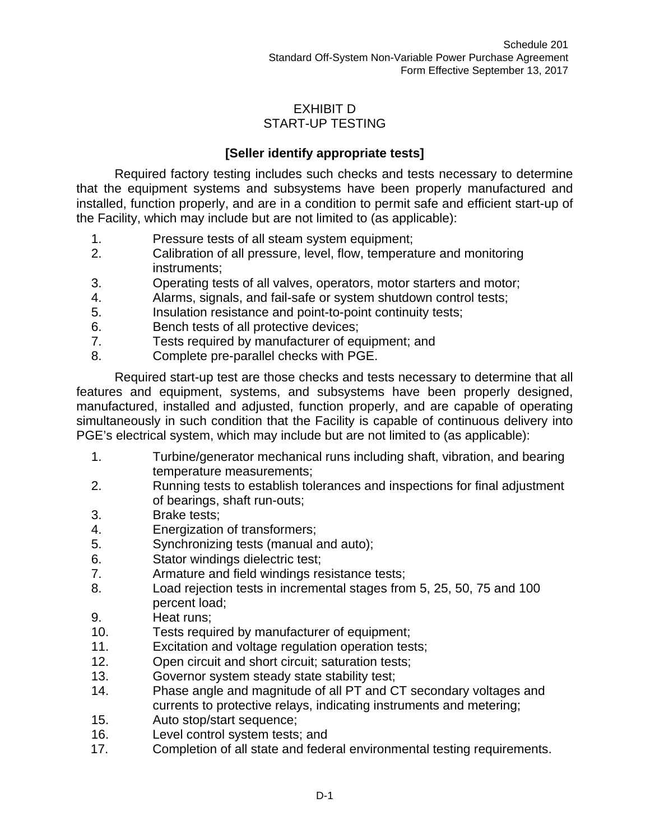# EXHIBIT D START-UP TESTING

# **[Seller identify appropriate tests]**

Required factory testing includes such checks and tests necessary to determine that the equipment systems and subsystems have been properly manufactured and installed, function properly, and are in a condition to permit safe and efficient start-up of the Facility, which may include but are not limited to (as applicable):

- 1. Pressure tests of all steam system equipment;
- 2. Calibration of all pressure, level, flow, temperature and monitoring instruments;
- 3. Operating tests of all valves, operators, motor starters and motor;
- 4. Alarms, signals, and fail-safe or system shutdown control tests;
- 5. Insulation resistance and point-to-point continuity tests;
- 6. Bench tests of all protective devices;
- 7. Tests required by manufacturer of equipment; and
- 8. Complete pre-parallel checks with PGE.

Required start-up test are those checks and tests necessary to determine that all features and equipment, systems, and subsystems have been properly designed, manufactured, installed and adjusted, function properly, and are capable of operating simultaneously in such condition that the Facility is capable of continuous delivery into PGE's electrical system, which may include but are not limited to (as applicable):

- 1. Turbine/generator mechanical runs including shaft, vibration, and bearing temperature measurements;
- 2. Running tests to establish tolerances and inspections for final adjustment of bearings, shaft run-outs;
- 3. Brake tests;
- 4. Energization of transformers;
- 5. Synchronizing tests (manual and auto);
- 6. Stator windings dielectric test;
- 7. Armature and field windings resistance tests;
- 8. Load rejection tests in incremental stages from 5, 25, 50, 75 and 100 percent load;
- 9. Heat runs;
- 10. Tests required by manufacturer of equipment;
- 11. Excitation and voltage regulation operation tests;
- 12. Open circuit and short circuit; saturation tests;
- 13. Governor system steady state stability test;
- 14. Phase angle and magnitude of all PT and CT secondary voltages and currents to protective relays, indicating instruments and metering;
- 15. Auto stop/start sequence;
- 16. Level control system tests; and
- 17. Completion of all state and federal environmental testing requirements.